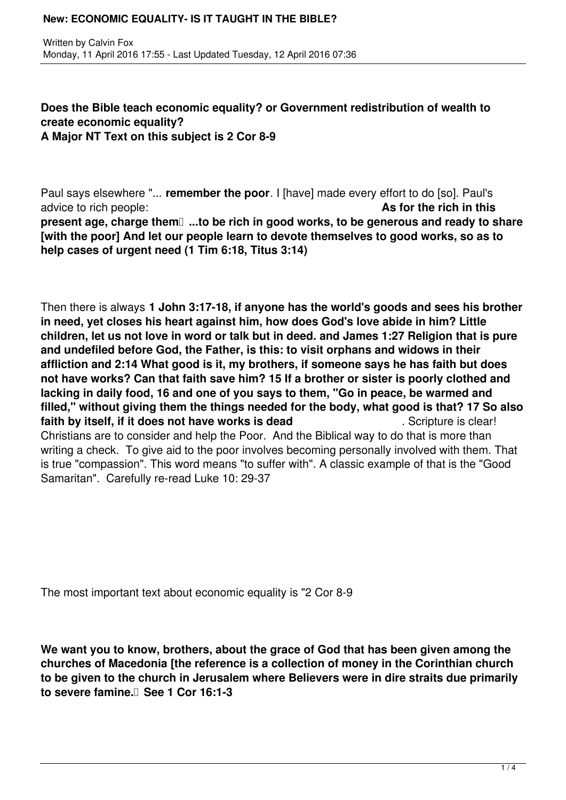## **Does the Bible teach economic equality? or Government redistribution of wealth to create economic equality? A Major NT Text on this subject is 2 Cor 8-9**

Paul says elsewhere "... **remember the poor**. I [have] made every effort to do [so]. Paul's advice to rich people: **As for the rich in this present age, charge them**  $\Box$ **...to be rich in good works, to be generous and ready to share [with the poor] And let our people learn to devote themselves to good works, so as to help cases of urgent need (1 Tim 6:18, Titus 3:14)**

Then there is always **1 John 3:17-18, if anyone has the world's goods and sees his brother in need, yet closes his heart against him, how does God's love abide in him? Little children, let us not love in word or talk but in deed. and James 1:27 Religion that is pure and undefiled before God, the Father, is this: to visit orphans and widows in their affliction and 2:14 What good is it, my brothers, if someone says he has faith but does not have works? Can that faith save him? 15 If a brother or sister is poorly clothed and lacking in daily food, 16 and one of you says to them, "Go in peace, be warmed and filled," without giving them the things needed for the body, what good is that? 17 So also faith by itself, if it does not have works is dead** . Scripture is clear! Christians are to consider and help the Poor. And the Biblical way to do that is more than writing a check. To give aid to the poor involves becoming personally involved with them. That is true "compassion". This word means "to suffer with". A classic example of that is the "Good Samaritan". Carefully re-read Luke 10: 29-37

The most important text about economic equality is "2 Cor 8-9

**We want you to know, brothers, about the grace of God that has been given among the churches of Macedonia [the reference is a collection of money in the Corinthian church to be given to the church in Jerusalem where Believers were in dire straits due primarily to severe famine. See 1 Cor 16:1-3**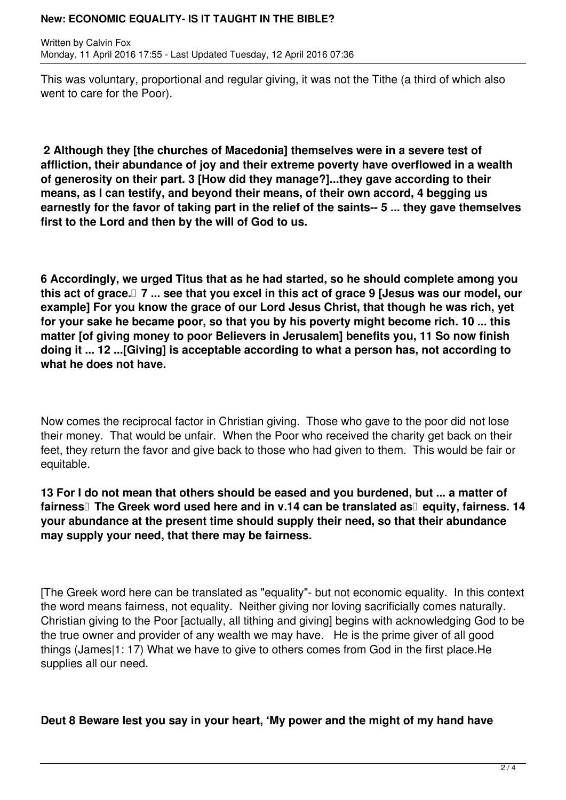Written by Calvin Fox Monday, 11 April 2016 17:55 - Last Updated Tuesday, 12 April 2016 07:36

This was voluntary, proportional and regular giving, it was not the Tithe (a third of which also went to care for the Poor).

 **2 Although they [the churches of Macedonia] themselves were in a severe test of affliction, their abundance of joy and their extreme poverty have overflowed in a wealth of generosity on their part. 3 [How did they manage?]...they gave according to their means, as I can testify, and beyond their means, of their own accord, 4 begging us earnestly for the favor of taking part in the relief of the saints-- 5 ... they gave themselves first to the Lord and then by the will of God to us.**

**6 Accordingly, we urged Titus that as he had started, so he should complete among you this act of grace. 7 ... see that you excel in this act of grace 9 [Jesus was our model, our example] For you know the grace of our Lord Jesus Christ, that though he was rich, yet for your sake he became poor, so that you by his poverty might become rich. 10 ... this matter [of giving money to poor Believers in Jerusalem] benefits you, 11 So now finish doing it ... 12 ...[Giving] is acceptable according to what a person has, not according to what he does not have.**

Now comes the reciprocal factor in Christian giving. Those who gave to the poor did not lose their money. That would be unfair. When the Poor who received the charity get back on their feet, they return the favor and give back to those who had given to them. This would be fair or equitable.

**13 For I do not mean that others should be eased and you burdened, but ... a matter of** fairness<sup>[]</sup> The Greek word used here and in v.14 can be translated as<sup>[]</sup> equity, fairness. 14 **your abundance at the present time should supply their need, so that their abundance may supply your need, that there may be fairness.**

[The Greek word here can be translated as "equality"- but not economic equality. In this context the word means fairness, not equality. Neither giving nor loving sacrificially comes naturally. Christian giving to the Poor [actually, all tithing and giving] begins with acknowledging God to be the true owner and provider of any wealth we may have. He is the prime giver of all good things (James|1: 17) What we have to give to others comes from God in the first place.He supplies all our need.

**Deut 8 Beware lest you say in your heart, 'My power and the might of my hand have**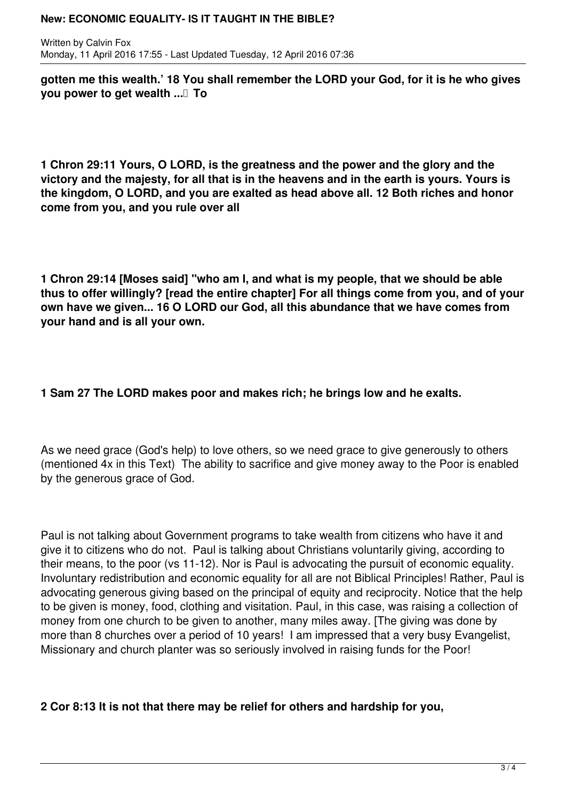Written by Calvin Fox Monday, 11 April 2016 17:55 - Last Updated Tuesday, 12 April 2016 07:36

**gotten me this wealth.' 18 You shall remember the LORD your God, for it is he who gives you power to get wealth ...** To

**1 Chron 29:11 Yours, O LORD, is the greatness and the power and the glory and the victory and the majesty, for all that is in the heavens and in the earth is yours. Yours is the kingdom, O LORD, and you are exalted as head above all. 12 Both riches and honor come from you, and you rule over all**

**1 Chron 29:14 [Moses said] "who am I, and what is my people, that we should be able thus to offer willingly? [read the entire chapter] For all things come from you, and of your own have we given... 16 O LORD our God, all this abundance that we have comes from your hand and is all your own.**

# **1 Sam 27 The LORD makes poor and makes rich; he brings low and he exalts.**

As we need grace (God's help) to love others, so we need grace to give generously to others (mentioned 4x in this Text) The ability to sacrifice and give money away to the Poor is enabled by the generous grace of God.

Paul is not talking about Government programs to take wealth from citizens who have it and give it to citizens who do not. Paul is talking about Christians voluntarily giving, according to their means, to the poor (vs 11-12). Nor is Paul is advocating the pursuit of economic equality. Involuntary redistribution and economic equality for all are not Biblical Principles! Rather, Paul is advocating generous giving based on the principal of equity and reciprocity. Notice that the help to be given is money, food, clothing and visitation. Paul, in this case, was raising a collection of money from one church to be given to another, many miles away. [The giving was done by more than 8 churches over a period of 10 years! I am impressed that a very busy Evangelist, Missionary and church planter was so seriously involved in raising funds for the Poor!

# **2 Cor 8:13 It is not that there may be relief for others and hardship for you,**